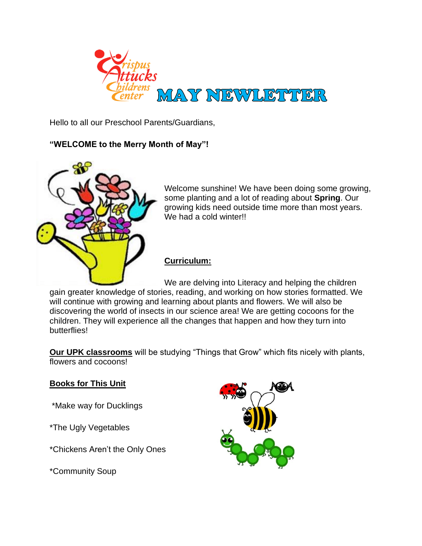

Hello to all our Preschool Parents/Guardians,

## **"WELCOME to the Merry Month of May"!**



Welcome sunshine! We have been doing some growing, some planting and a lot of reading about **Spring**. Our growing kids need outside time more than most years. We had a cold winter!!

## **Curriculum:**

We are delving into Literacy and helping the children gain greater knowledge of stories, reading, and working on how stories formatted. We will continue with growing and learning about plants and flowers. We will also be discovering the world of insects in our science area! We are getting cocoons for the children. They will experience all the changes that happen and how they turn into butterflies!

**Our UPK classrooms** will be studying "Things that Grow" which fits nicely with plants, flowers and cocoons!

## **Books for This Unit**

\*Make way for Ducklings

\*The Ugly Vegetables

\*Chickens Aren't the Only Ones

\*Community Soup

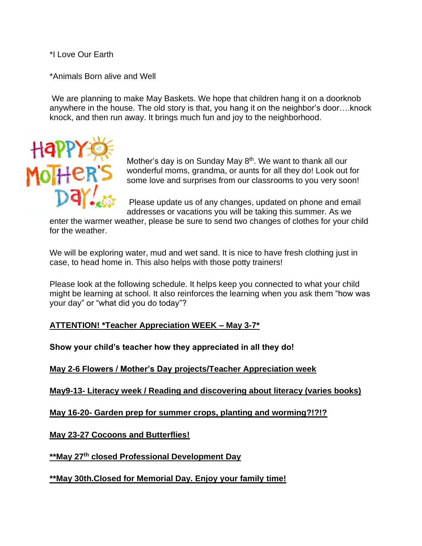\*I Love Our Earth

\*Animals Born alive and Well

We are planning to make May Baskets. We hope that children hang it on a doorknob anywhere in the house. The old story is that, you hang it on the neighbor's door….knock knock, and then run away. It brings much fun and joy to the neighborhood.



Mother's day is on Sunday May 8<sup>th</sup>. We want to thank all our wonderful moms, grandma, or aunts for all they do! Look out for some love and surprises from our classrooms to you very soon!

Please update us of any changes, updated on phone and email addresses or vacations you will be taking this summer. As we

enter the warmer weather, please be sure to send two changes of clothes for your child for the weather.

We will be exploring water, mud and wet sand. It is nice to have fresh clothing just in case, to head home in. This also helps with those potty trainers!

Please look at the following schedule. It helps keep you connected to what your child might be learning at school. It also reinforces the learning when you ask them "how was your day" or "what did you do today"?

**ATTENTION! \*Teacher Appreciation WEEK – May 3-7\*** 

**Show your child's teacher how they appreciated in all they do!**

**May 2-6 Flowers / Mother's Day projects/Teacher Appreciation week** 

**May9-13- Literacy week / Reading and discovering about literacy (varies books)**

**May 16-20- Garden prep for summer crops, planting and worming?!?!?**

**May 23-27 Cocoons and Butterflies!**

**\*\*May 27th closed Professional Development Day** 

**\*\*May 30th.Closed for Memorial Day. Enjoy your family time!**